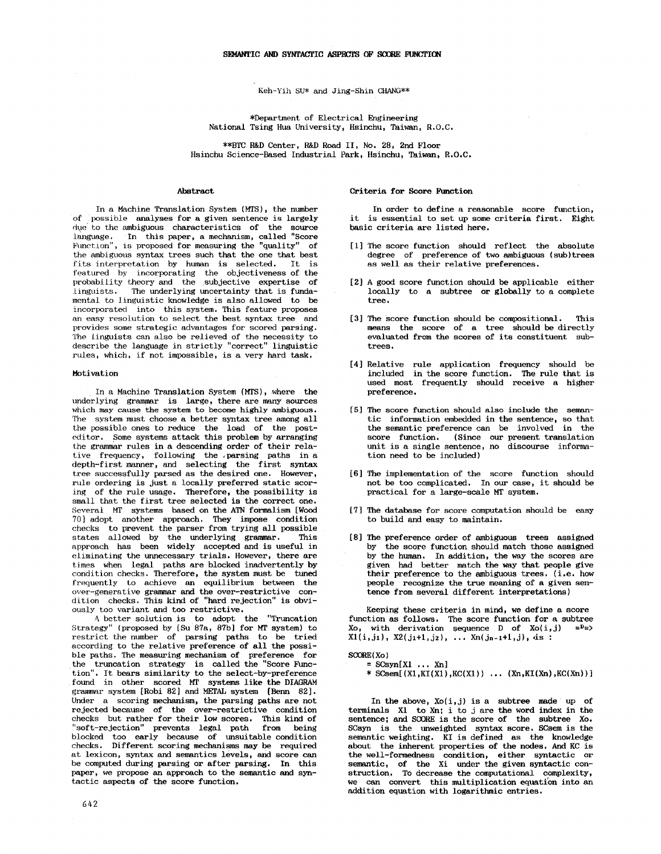Keh-Yih SU\* and Jing-Shin CHANG\*\*

\*Department of Electrical Engineering National Tsing Hua University, Hsinehu, Taiwan, R.O.C.

\*\*BTC R&D Center, R&D Road II, No. 28, 2nd Floor Hsinchu Science-Based Industrial Park, Hsinchu, Taiwan, R.O.C.

# Abstract

In a Machine Translation System (MTS), the number of possible analyses for a given sentence is largely dve to the ambiguous characteristics of the source language. In this paper, a mechanism, called "Score Function", is proposed for measuring the "quality" of the ambiguous syntax trees such that the one that best fits interpretation by human is selected. It is featured by incorporating the objectiveness of the probability theory and the subjective expertise of<br>linguists. The underlying uncertainty that is funda-The underlying uncertainty that is fundamental to linguistic knowledge is also allowed to be incorporated into this system. This feature proposes an easy resolution to select the best syntax *tree* and provides some strategic advantages for scored parsing. The linguists can also be relieved of the necessity to describe the language in strictly "correct" linguistic rules, which, if not impossible, is a very hard task.

## Motivation

In a Machine Translation System (Mrs), where the underlying grammar is large, there are many sources which may cause the system to become highly ambiguous. The system must choose a better syntax tree among all the possible ones to reduce the load of the posteditor. Some systems attack this problem by arranging the grammar rules in a descending order of their relative frequency, following the .parsing paths in a depth-first manner, and selecting the first syntax tree successfully parsed as the desired one. However, rule ordering is just a locally preferred static scoring of the rule usage. Therefore, the possibility is small that the first tree selected is the correct one. Several MT systems based on the ATN formalism [Wood 70] adopt another approach. They impose condition cheeks to prevent the parser from trying all possible states allowed by the underlying grammar. This approach has been widely accepted and is useful in eliminating the unnecessary trials. However, there are times when legal paths are blocked inadvertently by condition checks. Therefore, the system must be tuned frequently to achieve an equilibrium between the over-generative grammar and the over-restrictive condition checks. This kind of "hard rejection" is obviously too variant and too restrictive.

A better solution is to adopt the "Truncation Strategy" (proposed by [Su 87a, 87b] for MT system) to restrict the number of parsing paths to be tried according to the relative preference of all the possible paths. The measuring mechanism of preference for the truncation strategy is called the "Score Function". It bears similarity to the select-by-preference found in other scored MT systems like the DIAGRAM grammar system [Robi 82] and METAL system [Benn 82]. Under a scoring mechanism, the parsing paths are not rejected because of the over-restrictive condition checks but rather for their low scores. This kind of "soft-rejection" prevents legal path from being blocked too early because of unsuitable condition checks. Different scoring mechanisms may be required at lexicon, syntax and semantics levels, and score can be computed during parsing or after parsing. In this paper, we propose an approach to the semantic and syntactic aspects of the score function.

## Criteria for Score Function

In order to define a reasonable score function, it is essential to set up some criteria first. Eight basic criteria are listed here.

- [1] The score function should reflect the absolute degree of preference of two ambiguous (sub)trees as well as their relative preferences.
- [2] A good score function should be applicable either locally to a subtree or globally to a complete tree.
- [3] The Score function should be compositional. This means the score of a tree should be directly evaluated from the scores of its constituent subtrees.
- [4] Relative rule application frequency should be included in the score function. The rule that is used most frequently should receive a higher preference.
- [5] The score function should also include the semantic information embedded in the sentence, so that the semantic preference can be involved in the score function. (Since our present translation unit is a single sentence, no discourse information need to be included)
- [6] The implementation of the score function should not be too complicated. In our case, it should be practical for a large-scale MT system.
- [7] The database for score computation should be easy to build and easy to maintain.
- [8] The preference order of ambiguous trees assigned by the score function should match those assigned by the human. In addition, the way the scores are given had better match the way that people give their preference to the ambiguous trees. (i.e. how people recognize the true meaning of a given sentence from several different interpretations)

Keeping these criteria in mind, we define a score function as follows. The score function for a subtree<br>Xo, with derivation sequence D of  $X_0(i, i) = P_{\pm 2}$ Xo, with derivation sequence  $D$  of  $Xo(i,j)$  $X1(i,j_1), X2(j_1+1,j_2), \ldots Xn(j_{n-1}+1,j),$  is :

# $SCORE(X<sub>O</sub>)$

 $=$  SCsyn[X1 ... Xn] \* SCsem $[(X1,KI(X1),KC(X1)) \dots (Xn,KI(Xn),KC(Xn))]$ 

In the above,  $Xo(i,j)$  is a subtree made up of terminals X1 to Xn; i to j are the word index in the sentence; and SCORE is the score of the subtree Xo. SCsyn is the unweighted syntax score. SCsem is the semantic weighting. KI is defined as the knowledge about the inherent properties of the nodes. And KC is the well-formedness condition, either syntactic or semantic, of the Xi under the given syntactic construction. To decrease the computational complexity, we can convert this multiplication equation into an addition equation with logarithmic entries.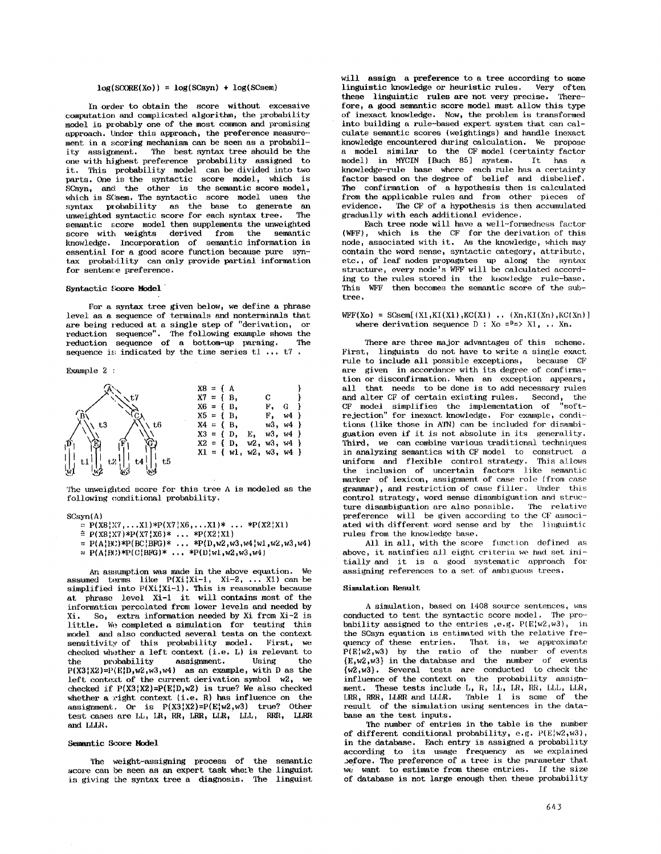# $log(SC)$  =  $log(SCsyn) + log(SCsem)$

In order to obtain the score without excessive computation and complicated algorithm, the probability model is probably one of the most common and promising approach. Under this approach, the preference measurement in a scoring mechanism can be seen as a probability assignment. The best syntax tree should be the one with highest preference probability assigned to it. This probability model can be divided into two parts. One is the syntactic score model, which is  $SCsyn$ , and the other is the semantic score model, which is SCsem. The syntactic score model uses the syntax probability as the base to generate an unwoighted syntactic score for each syntax tree. The unweighted syntactic score for each syntax tree. semantic score model then supplements the unweighted score with weights derived from the semantic knowledge. Incorporation of semantic information is essential for a good score function because pure syntax probability can only provide partial information for sentence preference.

## **Syntactic Score Model**

For a syntax tree given below, we define a phrase level as a sequence of terminals and nonterminals that are being reduced at a single step of "derivation, or reduction sequence". The following example shows the reduction sequence of a bottom-up parsing. sequence is indicated by the time series  $t1 \ldots t7$ .

### Example 2 :

|          | $X8 = \{ A$  |  |              |                             |              |      |  |
|----------|--------------|--|--------------|-----------------------------|--------------|------|--|
|          | $XY = \{B,$  |  |              |                             |              |      |  |
|          | $X6 = \{ B,$ |  |              |                             | F.           |      |  |
|          | $X5 = \{ B,$ |  |              |                             | F,           | w4 } |  |
| t6<br>t3 | $X4 = {B,$   |  |              |                             | w3, w4       |      |  |
|          | $X3 = { }$   |  | D,           | Ε,                          | $w3.$ $w4$ } |      |  |
|          |              |  | $X2 = \{ D,$ |                             | w2, w3, w4   |      |  |
|          |              |  |              | $X1 = \{ w1, w2, w3, w4 \}$ |              |      |  |
| t5<br>C4 |              |  |              |                             |              |      |  |
|          |              |  |              |                             |              |      |  |

The unweighted score for this tree A is modeled as the following conditional probability.

#### SCsyn(A)

```
= P(X8|X7, \ldots X1) * P(X7|X6, \ldots X1) * \ldots * P(X2|X1)
```
 $\cong$  P(X8:X7)\*P(X7:X6)\* ... \*P(X2:X1)

 $= P(A|BC) * P(BC|BFG) * ... * P(D,w2,w3,w4|w1,w2,w3,w4)$ 

 $= P(A|BC) * P(C|BFG) * ... * P(D|W1, w2, w3, w4)$ 

An assumption was made in the above equation. We assumed terms like P(Xi¦Xi-1, Xi-2, ...X1) can be<br>simplified into P(Xi¦Xi-1). This is reasonable because at phrase level Xi-I it will contains most of the information percolated from lower levels and needed by Xi. So, extra information needed by Xi from Xi-2 is little. We completed a simulation for testing this model and also conducted several tests on the context sensitivity of this probability model. First, we checked whether a left context  $(i.e. L)$  is relevant to the probability assignment. Using the the probability assignment. Using the  $P(X3|X2)=P(E|D,w2,w3,w4)$  as an example, with D as the left context of the current derivation symbol  $w2$ , we checked if  $P(X3|X2)=P(E|D, w2)$  is true? We also checked whether a right context (i.e.  $R$ ) has influence on the assignment. Or is  $P(X3 | X2) = P(E_1^* w2, w3)$  true? Other test cases are LL, LR, RR, LRR, LLR, LLL, RRR, LLRR and LLLR.

### Semantic Score Model

The weight-assigning process of the semantic score can be seen as an expert task whete the linguist is giving the syntax tree a diagnosis. The linguist will assign a preference to a tree according to some linguistic knowledge or heuristic rules. Very often these linguistic rules are not very precise. Therefore, a good semantic score model must allow this type of inexact knowledge. Now, the problem is transformed into building a rule-based expert system that can calculate semantic scores (weightings) and handle inexact knowledge encountered during calculation. We propose a model similar to the CF model (certainty factor  $model$  in MYCIN  $[Buch 85]$  system. knowledge-rule base where each rule has a certainty factor based on the degree of belief and disbelief. The confirmation of a hypothesis then is calculated from the applicable rules and from other pieces of evidence. The CF of a hypothesis is then accumulated The CF of a hypothesis is then accumulated gradually with each additional evidence.

Each tree node will have a well-formedness factor (WFF), which is the CF for the derivation of this node, associated with it. As the knowledge, which may contain the word sense, syntactic category, attribute, etc., of leaf nodes propagates up along the syntax structure, every node's WFF will be calculated according to the rules stored in the knowledge rule-base. This WFF then becomes the semantic score of the subtree.

# $WFF(Xo) = SCsem[(X1,KI(X1),KC(X1) ... (Xn,KI(Xn),KC(Xn) ]$ where derivation sequence  $D : Xo = P \Rightarrow X1, ... Xn$ .

There are three major advantages of this scheme. First, linguists do not have to write a single exact rule to include all possible exceptions, because CF are given in accordance with its degree of confirmation or disconfirmation. When an exception appears, all that needs to be done is to add necessary rules and alter CF of certain existing rules. Second, the and alter CF of certain existing rules. Second, the CF model simplifies the implementation of "softrejection" for inexact knowledge. For example, conditions (like those in ATN) can be included for disambiguation even if it is not absolute in its generality. Third, we can combine various traditional techniques in analyzing semantics with CF model to construct a uniform and flexible control strategy. This allows the inclusion of uncertain factors like semantic marker of lexicon, assignment of case role (from case grammar), and restriction of case filler. Under this control strategy, word sense disambiguation and struc-ture disambiguation are also possible. The relative preference will be given accerding to the CF associated with different word sense and by the linguistic rules from the knowledge base.

All in all, with the score function defined as above, it satisfies all eight criteria we had set initially and it is a good systematic approach for assigning references to a set of ambiguous trees.

# Simulation Result

A simulation, based on 1408 source sentences, was conducted to test the syntactic score mode]. The pro~ bability assigned to the entries ,e.g.  $P(E|w2, w3)$ , in the SCsyn equation is estimated with the relative frequency of these entries. That is, we approximate  $P(E | w2, w3)$  by the ratio of the number of events {E,w2,w3} in the database and the number of events {w2,w3}. Several tests are conducted to check the influence of the context on the probability assignment. These tests include L, R, LL, LR, RR, LLL, LLR, LRR, RRR, LLRR and LLLR. Table 1 is some of the result of the simulation using sentences in the database as the test inputs.

The number of entries in the table is the number of different conditional probability, e.g.  $P(E|w2, w3)$ , in the database. Each entry is assigned a probability according to its usage frequency as we explained before. The preference of a tree is the parmneter that we want to estimate from these entries. If the size of database is not large enough then these probability